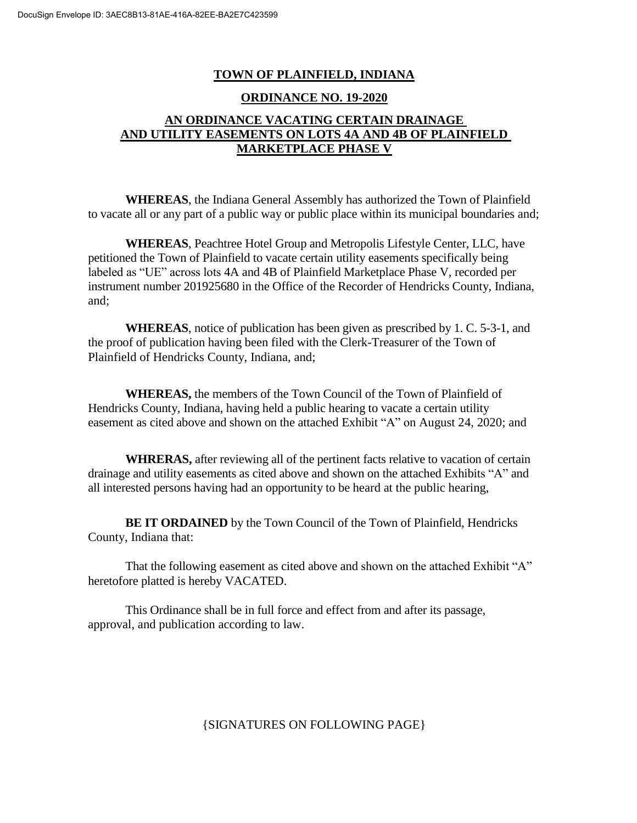## **TOWN OF PLAINFIELD, INDIANA**

## **ORDINANCE NO. 19-2020**

## **AN ORDINANCE VACATING CERTAIN DRAINAGE AND UTILITY EASEMENTS ON LOTS 4A AND 4B OF PLAINFIELD MARKETPLACE PHASE V**

**WHEREAS**, the Indiana General Assembly has authorized the Town of Plainfield to vacate all or any part of a public way or public place within its municipal boundaries and;

**WHEREAS**, Peachtree Hotel Group and Metropolis Lifestyle Center, LLC, have petitioned the Town of Plainfield to vacate certain utility easements specifically being labeled as "UE" across lots 4A and 4B of Plainfield Marketplace Phase V, recorded per instrument number 201925680 in the Office of the Recorder of Hendricks County, Indiana, and;

**WHEREAS**, notice of publication has been given as prescribed by 1. C. 5-3-1, and the proof of publication having been filed with the Clerk-Treasurer of the Town of Plainfield of Hendricks County, Indiana, and;

**WHEREAS,** the members of the Town Council of the Town of Plainfield of Hendricks County, Indiana, having held a public hearing to vacate a certain utility easement as cited above and shown on the attached Exhibit "A" on August 24, 2020; and

**WHRERAS,** after reviewing all of the pertinent facts relative to vacation of certain drainage and utility easements as cited above and shown on the attached Exhibits "A" and all interested persons having had an opportunity to be heard at the public hearing,

**BE IT ORDAINED** by the Town Council of the Town of Plainfield, Hendricks County, Indiana that:

That the following easement as cited above and shown on the attached Exhibit "A" heretofore platted is hereby VACATED.

This Ordinance shall be in full force and effect from and after its passage, approval, and publication according to law.

{SIGNATURES ON FOLLOWING PAGE}